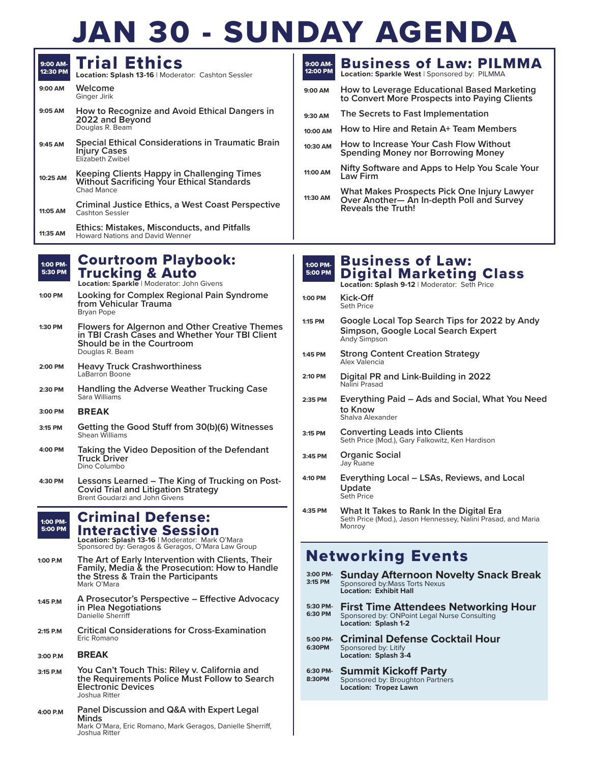# N 30 - SUNDAY AGENDA

| 9:00 AM-<br>12:30 PM | <b>Trial Ethics</b><br><b>Location: Splash 13-16   Moderator: Cashton Sessler</b>                                    |
|----------------------|----------------------------------------------------------------------------------------------------------------------|
| 9:00 AM              | Welcome<br>Ginger Jirik                                                                                              |
| 9:05 AM              | How to Recognize and Avoid Ethical Dangers in<br>2022 and Beyond<br>Douglas R. Beam                                  |
| 9:45 AM              | <b>Special Ethical Considerations in Traumatic Brain</b><br><b>Injury Cases</b><br>Elizabeth Zwibel                  |
| 10:25 AM             | <b>Keeping Clients Happy in Challenging Times</b><br><b>Without Sacrificing Your Ethical Standards</b><br>Chad Mance |
| 11:05 AM             | Criminal Justice Ethics, a West Coast Perspective<br><b>Cashton Sessler</b>                                          |
| 11:35 AM             | <b>Ethics: Mistakes, Misconducts, and Pitfalls</b><br><b>Howard Nations and David Wenner</b>                         |

| M- | <b>Courtroom Playbook:</b> |  |
|----|----------------------------|--|
|    | <b>M</b> Trucking & Auto   |  |

**Location: Sparkle** | Moderator: John Givens

- **Looking for Complex Regional Pain Syndrome from Vehicular Trauma** Bryan Pope **1:00 PM**
- **Flowers for Algernon and Other Creative Themes in TBI Crash Cases and Whether Your TBI Client Should be in the Courtroom** Douglas R. Beam **1:30 PM**
- **Heavy Truck Crashworthiness** LaBarron Boone **2:00 PM**
- **Handling the Adverse Weather Trucking Case** Sara Williams **2:30 PM**
- **BREAK 3:00 PM**

 $1:00$  $5:30$ 

- **Getting the Good Stuff from 30(b)(6) Witnesses** Shean Williams **3:15 PM**
- **Taking the Video Deposition of the Defendant Truck Driver** Dino Columbo **4:00 PM**
- **Lessons Learned The King of Trucking on Post-Covid Trial and Litigation Strategy** Brent Goudarzi and John Givens **4:30 PM**

#### Criminal Defense: **Interactive Session**<br>Location: Splash 13-16 | Moderator: Mark O'Mara<br>Sponsored by: Geragos & Geragos, O'Mara Law Group 1:00 PM-5:00 PM

- **The Art of Early Intervention with Clients, Their Family, Media & the Prosecution: How to Handle the Stress & Train the Participants** Mark O'Mara **1:00 P.M**
- **A Prosecutor's Perspective Effective Advocacy in Plea Negotiations** Danielle Sherriff **1:45 P.M**
- **Critical Considerations for Cross-Examination** Eric Romano **2:15 P.M**
- **BREAK 3:00 P.M**
- **You Can't Touch This: Riley v. California and the Requirements Police Must Follow to Search Electronic Devices** Joshua Ritter **3:15 P.M**
- **Panel Discussion and Q&A with Expert Legal Minds** Mark O'Mara, Eric Romano, Mark Geragos, Danielle Sherriff, Joshua Ritter **4:00 P.M**

| 9:00 AM-<br>12:00 PM | <b>Business of Law: PILMMA</b><br><b>Location: Sparkle West   Sponsored by: PILMMA</b>                                |
|----------------------|-----------------------------------------------------------------------------------------------------------------------|
| 9:00 AM              | How to Leverage Educational Based Marketing<br>to Convert More Prospects into Paying Clients                          |
| $9:30$ AM            | The Secrets to Fast Implementation                                                                                    |
| 10:00 AM             | How to Hire and Retain A+ Team Members                                                                                |
| 10:30 AM             | How to Increase Your Cash Flow Without<br><b>Spending Money nor Borrowing Money</b>                                   |
| 11:00 AM             | Nifty Software and Apps to Help You Scale Your<br>Law Firm                                                            |
| 11:30 AM             | What Makes Prospects Pick One Injury Lawyer<br>Over Another- An In-depth Poll and Survey<br><b>Reveals the Truth!</b> |
|                      |                                                                                                                       |

| 1:00 PM-<br>5:00 PM      | <b>Business of Law:</b><br><b>Digital Marketing Class</b><br>Location: Splash 9-12   Moderator: Seth Price                 |  |
|--------------------------|----------------------------------------------------------------------------------------------------------------------------|--|
| 1:00 PM                  | Kick-Off<br>Seth Price                                                                                                     |  |
| 1:15 PM                  | Google Local Top Search Tips for 2022 by Andy<br>Simpson, Google Local Search Expert<br>Andy Simpson                       |  |
| 1:45 PM                  | <b>Strong Content Creation Strategy</b><br>Alex Valencia                                                                   |  |
| 2:10 PM                  | Digital PR and Link-Building in 2022<br>Nalini Prasad                                                                      |  |
| 2:35 PM                  | Everything Paid – Ads and Social, What You Need<br>to Know<br>Shalva Alexander                                             |  |
| 3:15 PM                  | <b>Converting Leads into Clients</b><br>Seth Price (Mod.), Gary Falkowitz, Ken Hardison                                    |  |
| 3:45 PM                  | <b>Organic Social</b><br>Jay Ruane                                                                                         |  |
| 4:10 PM                  | Everything Local – LSAs, Reviews, and Local<br>Update<br>Seth Price                                                        |  |
| 4:35 PM                  | What It Takes to Rank In the Digital Era<br>Seth Price (Mod.), Jason Hennessey, Nalini Prasad, and Maria<br>Monroy         |  |
| <b>Networking Events</b> |                                                                                                                            |  |
| 3:00 PM-<br>3:15 PM      | <b>Sunday Afternoon Novelty Snack Break</b><br>Sponsored by: Mass Torts Nexus<br><b>Location: Exhibit Hall</b>             |  |
| 5:30 PM-<br>6:30 PM      | <b>First Time Attendees Networking Hour</b><br>Sponsored by: ONPoint Legal Nurse Consulting<br><b>Location: Splash 1-2</b> |  |

**Criminal Defense Cocktail Hour** Sponsored by: Litify **Location: Splash 3-4 5:00 PM-6:30PM**

#### **Summit Kickoff Party 6:30 PM-**

Sponsored by: Broughton Partners **Location: Tropez Lawn 8:30PM**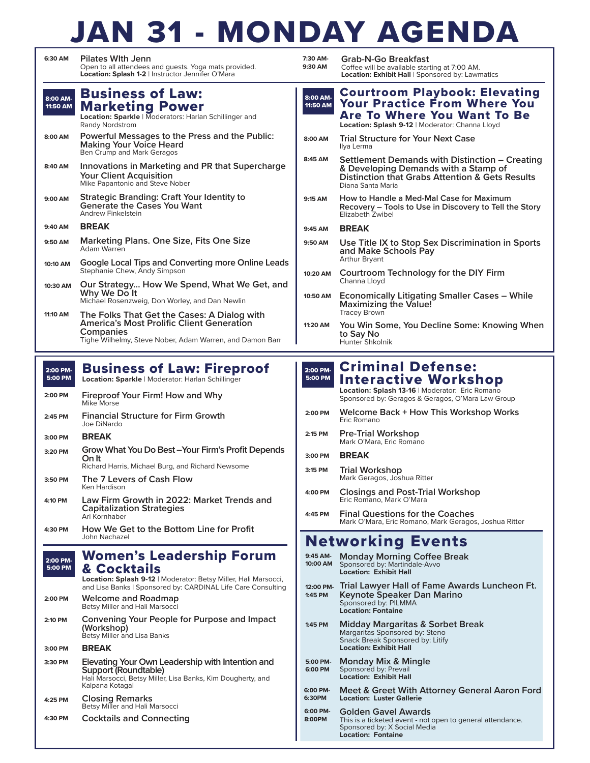## JAN 31 - MONDAY AGENDA

| 6:30 AM              | <b>Pilates With Jenn</b><br>Open to all attendees and guests. Yoga mats provided.<br>Location: Splash 1-2   Instructor Jennifer O'Mara                                                          | 7:30 AM-<br>9:30 AM  | Grab-N-Go Breakfast<br>Coffee will be available starting at 7:00 AM.<br>Location: Exhibit Hall   Sponsored by: Lawmatics                                                  |
|----------------------|-------------------------------------------------------------------------------------------------------------------------------------------------------------------------------------------------|----------------------|---------------------------------------------------------------------------------------------------------------------------------------------------------------------------|
| 8:00 AM-<br>11:50 AM | <b>Business of Law:</b><br><b>Marketing Power</b><br>Location: Sparkle   Moderators: Harlan Schillinger and<br>Randy Nordstrom                                                                  | 8:00 AM-<br>11:50 AM | <b>Courtroom Playbook: Elevating</b><br><b>Your Practice From Where You</b><br><b>Are To Where You Want To Be</b><br>Location: Splash 9-12   Moderator: Channa Lloyd      |
| 8:00 AM              | Powerful Messages to the Press and the Public:<br><b>Making Your Voice Heard</b><br>Ben Crump and Mark Geragos                                                                                  | 8:00 AM              | <b>Trial Structure for Your Next Case</b><br>Ilya Lerma                                                                                                                   |
| 8:40 AM              | Innovations in Marketing and PR that Supercharge<br><b>Your Client Acquisition</b><br>Mike Papantonio and Steve Nober                                                                           | 8:45 AM              | Settlement Demands with Distinction – Creating<br>& Developing Demands with a Stamp of<br><b>Distinction that Grabs Attention &amp; Gets Results</b><br>Diana Santa Maria |
| 9:00 AM              | Strategic Branding: Craft Your Identity to<br><b>Generate the Cases You Want</b><br>Andrew Finkelstein                                                                                          | 9:15 AM              | How to Handle a Med-Mal Case for Maximum<br>Recovery - Tools to Use in Discovery to Tell the Story<br>Elizabeth Zwibel                                                    |
| 9:40 AM              | <b>BREAK</b>                                                                                                                                                                                    | 9:45 AM              | <b>BREAK</b>                                                                                                                                                              |
| 9:50 AM              | <b>Marketing Plans. One Size, Fits One Size</b><br>Adam Warren                                                                                                                                  | 9:50 AM              | Use Title IX to Stop Sex Discrimination in Sports<br>and Make Schools Pay                                                                                                 |
| 10:10 AM             | Google Local Tips and Converting more Online Leads<br>Stephanie Chew, Andy Simpson                                                                                                              | 10:20 AM             | Arthur Bryant<br>Courtroom Technology for the DIY Firm<br>Channa Lloyd                                                                                                    |
| 10:30 AM             | Our Strategy How We Spend, What We Get, and<br>Why We Do It<br>Michael Rosenzweig, Don Worley, and Dan Newlin                                                                                   | 10:50 AM             | <b>Economically Litigating Smaller Cases – While</b><br><b>Maximizing the Value!</b>                                                                                      |
| 11:10 AM             | The Folks That Get the Cases: A Dialog with<br>America's Most Prolific Client Generation                                                                                                        | 11:20 AM             | Tracey Brown<br>You Win Some, You Decline Some: Knowing When                                                                                                              |
|                      | Companies<br>Tighe Wilhelmy, Steve Nober, Adam Warren, and Damon Barr                                                                                                                           |                      | to Say No<br>Hunter Shkolnik                                                                                                                                              |
|                      |                                                                                                                                                                                                 |                      |                                                                                                                                                                           |
| 2:00 PM-<br>5:00 PM  | <b>Business of Law: Fireproof</b><br>Location: Sparkle   Moderator: Harlan Schillinger                                                                                                          | 2:00 PM-<br>5:00 PM  | <b>Criminal Defense:</b><br><b>Interactive Workshop</b>                                                                                                                   |
| 2:00 PM              | Fireproof Your Firm! How and Why<br>Mike Morse                                                                                                                                                  |                      | Location: Splash 13-16   Moderator: Eric Romano<br>Sponsored by: Geragos & Geragos, O'Mara Law Group                                                                      |
| 2:45 PM              | <b>Financial Structure for Firm Growth</b><br>Joe DiNardo                                                                                                                                       | 2:00 PM              | Welcome Back + How This Workshop Works<br>Eric Romano                                                                                                                     |
| 3:00 PM              | <b>BREAK</b>                                                                                                                                                                                    | 2:15 PM              | <b>Pre-Trial Workshop</b><br>Mark O'Mara, Eric Romano                                                                                                                     |
| 3:20 PM              | Grow What You Do Best – Your Firm's Profit Depends<br>On It                                                                                                                                     | 3:00 PM              | <b>BREAK</b>                                                                                                                                                              |
|                      | Richard Harris, Michael Burg, and Richard Newsome<br>The 7 Levers of Cash Flow                                                                                                                  | 3:15 PM              | <b>Trial Workshop</b><br>Mark Geragos, Joshua Ritter                                                                                                                      |
| 3:50 PM              | Ken Hardison                                                                                                                                                                                    | 4:00 PM              | <b>Closings and Post-Trial Workshop</b>                                                                                                                                   |
| 4:10 PM              | Law Firm Growth in 2022: Market Trends and<br><b>Capitalization Strategies</b><br>Ari Kornhaber                                                                                                 | 4:45 PM              | Eric Romano, Mark O'Mara<br><b>Final Questions for the Coaches</b>                                                                                                        |
| 4:30 PM              | How We Get to the Bottom Line for Profit<br>John Nachazel                                                                                                                                       |                      | Mark O'Mara, Eric Romano, Mark Geragos, Joshua Ritter                                                                                                                     |
|                      |                                                                                                                                                                                                 |                      | <b>Networking Events</b>                                                                                                                                                  |
| 2:00 PM-<br>5:00 PM  | <b>Women's Leadership Forum</b><br><b>&amp; Cocktails</b>                                                                                                                                       | 9:45 AM-<br>10:00 AM | <b>Monday Morning Coffee Break</b><br>Sponsored by: Martindale-Avvo<br><b>Location: Exhibit Hall</b>                                                                      |
| 2:00 PM              | Location: Splash 9-12   Moderator: Betsy Miller, Hali Marsocci,<br>and Lisa Banks   Sponsored by: CARDINAL Life Care Consulting<br><b>Welcome and Roadmap</b><br>Betsy Miller and Hali Marsocci | 1:45 PM              | 12:00 PM. Trial Lawyer Hall of Fame Awards Luncheon Ft.<br>Keynote Speaker Dan Marino<br>Sponsored by: PILMMA<br><b>Location: Fontaine</b>                                |
| 2:10 PM              | Convening Your People for Purpose and Impact<br>(Workshop)<br>Betsy Miller and Lisa Banks                                                                                                       | 1:45 PM              | Midday Margaritas & Sorbet Break<br>Margaritas Sponsored by: Steno<br>Snack Break Sponsored by: Litify                                                                    |
| 3:00 PM              | <b>BREAK</b>                                                                                                                                                                                    |                      | <b>Location: Exhibit Hall</b>                                                                                                                                             |
| 3:30 PM              | Elevating Your Own Leadership with Intention and<br>Support (Roundtable)<br>Hali Marsocci, Betsy Miller, Lisa Banks, Kim Dougherty, and                                                         | 5:00 PM-<br>6:00 PM  | <b>Monday Mix &amp; Mingle</b><br>Sponsored by: Prevail<br><b>Location: Exhibit Hall</b>                                                                                  |
| 4:25 PM              | Kalpana Kotagal<br><b>Closing Remarks</b><br>Betsy Miller and Hali Marsocci                                                                                                                     | 6:00 PM-<br>6:30PM   | Meet & Greet With Attorney General Aaron Ford<br><b>Location: Luster Gallerie</b>                                                                                         |
| 4:30 PM              | <b>Cocktails and Connecting</b>                                                                                                                                                                 | 6:00 PM-<br>8:00PM   | Golden Gavel Awards<br>This is a ticketed event - not open to general attendance.<br>Sponsored by: X Social Media<br><b>Location: Fontaine</b>                            |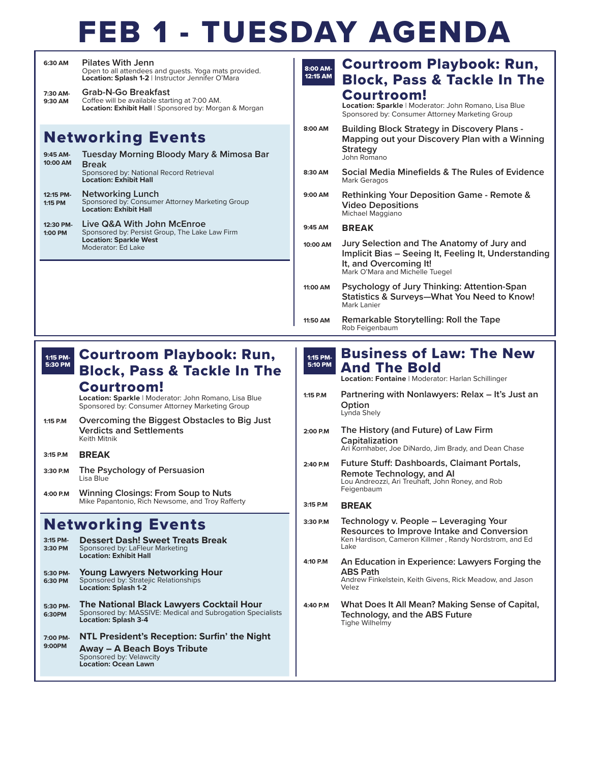## FEB 1 - TUESDAY AGENDA

| 6:30 AM  | <b>Pilates With Jenn</b><br>Open to all attendees and quests. Yoga mats provided.<br>Location: Splash 1-2   Instructor Jennifer O'Mara |
|----------|----------------------------------------------------------------------------------------------------------------------------------------|
| 7:30 AM- | <b>Grab-N-Go Breakfast</b>                                                                                                             |

Coffee will be available starting at 7:00 AM. **Location: Exhibit Hall** | Sponsored by: Morgan & Morgan **9:30 AM**

### Networking Events

| 9:45 AM-<br>10:00 AM | Tuesday Morning Bloody Mary & Mimosa Bar<br><b>Break</b><br>Sponsored by: National Record Retrieval<br><b>Location: Exhibit Hall</b> |
|----------------------|--------------------------------------------------------------------------------------------------------------------------------------|
| 12:15 PM-<br>1:15 PM | <b>Networking Lunch</b><br>Sponsored by: Consumer Attorney Marketing Group<br><b>Location: Exhibit Hall</b>                          |
| 12:30 PM-            | Live Q&A With John McEnroe                                                                                                           |

**Live Q&A With John McEnroe** Sponsored by: Persist Group, The Lake Law Firm **Location: Sparkle West** Moderator: Ed Lake **1:00 PM**

#### Courtroom Playbook: Run, Block, Pass & Tackle In The Courtroom! **Location: Sparkle** | Moderator: John Romano, Lisa Blue Sponsored by: Consumer Attorney Marketing Group **Building Block Strategy in Discovery Plans - Mapping out your Discovery Plan with a Winning Strategy** John Romano **Social Media Minefields & The Rules of Evidence** Mark Geragos **Rethinking Your Deposition Game - Remote & Video Depositions** Michael Maggiano **BREAK Jury Selection and The Anatomy of Jury and Implicit Bias – Seeing It, Feeling It, Understanding It, and Overcoming It!** Mark O'Mara and Michelle Tuegel **Psychology of Jury Thinking: Attention-Span Statistics & Surveys—What You Need to Know!** Mark Lanier 8:00 AM-12:15 AM **8:00 AM 8:30 AM 9:00 AM 9:45 AM 10:00 AM 11:00 AM**

**Remarkable Storytelling: Roll the Tape** Rob Feigenbaum **11:50 AM**

#### Courtroom Playbook: Run, Block, Pass & Tackle In The 1:15 PM-5:30 PM

### Courtroom!

**Location: Sparkle** | Moderator: John Romano, Lisa Blue Sponsored by: Consumer Attorney Marketing Group

- **Overcoming the Biggest Obstacles to Big Just Verdicts and Settlements** Keith Mitnik **1:15 P.M**
- **BREAK 3:15 P.M**
- **The Psychology of Persuasion** Lisa Blue **3:30 P.M**
- **Winning Closings: From Soup to Nuts** Mike Papantonio, Rich Newsome, and Troy Rafferty **4:00 P.M**

### Networking Events

| 3:15 PM-<br>3:30 PM | <b>Dessert Dash! Sweet Treats Break</b><br>Sponsored by: LaFleur Marketing<br><b>Location: Exhibit Hall</b>                                  |
|---------------------|----------------------------------------------------------------------------------------------------------------------------------------------|
| 5:30 PM-<br>6:30 PM | <b>Young Lawyers Networking Hour</b><br>Sponsored by: Stratejic Relationships<br><b>Location: Splash 1-2</b>                                 |
| 5:30 PM-<br>6:30PM  | <b>The National Black Lawyers Cocktail Hour</b><br>Sponsored by: MASSIVE: Medical and Subrogation Specialists<br><b>Location: Splash 3-4</b> |
| 7:00 PM-<br>9:00PM  | NTL President's Reception: Surfin' the Night<br><b>Away - A Beach Boys Tribute</b><br>Sponsored by: Velawcity<br><b>Location: Ocean Lawn</b> |

#### Business of Law: The New And The Bold 1:15 PM-5:10 PM

**Location: Fontaine** | Moderator: Harlan Schillinger

- **Partnering with Nonlawyers: Relax It's Just an Option** Lynda Shely **1:15 P.M**
- **The History (and Future) of Law Firm Capitalization** Ari Kornhaber, Joe DiNardo, Jim Brady, and Dean Chase **2:00 P.M**

#### **Future Stuff: Dashboards, Claimant Portals, Remote Technology, and AI** Lou Andreozzi, Ari Treuhaft, John Roney, and Rob Feigenbaum **2:40 P.M**

#### **BREAK 3:15 P.M**

- **Technology v. People Leveraging Your Resources to Improve Intake and Conversion** Ken Hardison, Cameron Killmer , Randy Nordstrom, and Ed Lake **3:30 P.M**
- **An Education in Experience: Lawyers Forging the ABS Path** Andrew Finkelstein, Keith Givens, Rick Meadow, and Jason Velez **4:10 P.M**
- **What Does It All Mean? Making Sense of Capital, Technology, and the ABS Future** Tighe Wilhelmy **4:40 P.M**